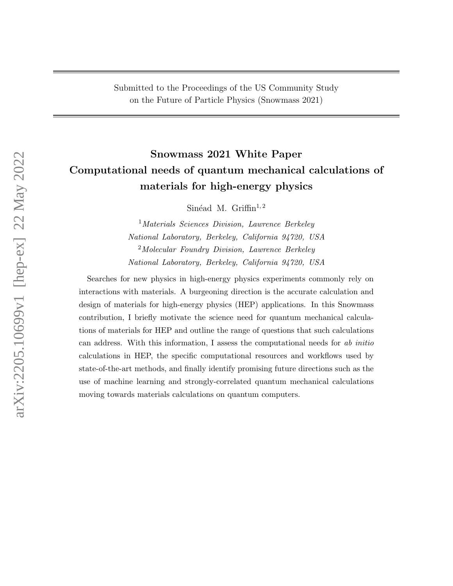# Snowmass 2021 White Paper Computational needs of quantum mechanical calculations of materials for high-energy physics

Sinéad M. Griffin<sup>1,2</sup>

<sup>1</sup>Materials Sciences Division, Lawrence Berkeley National Laboratory, Berkeley, California 94720, USA <sup>2</sup>Molecular Foundry Division, Lawrence Berkeley National Laboratory, Berkeley, California 94720, USA

Searches for new physics in high-energy physics experiments commonly rely on interactions with materials. A burgeoning direction is the accurate calculation and design of materials for high-energy physics (HEP) applications. In this Snowmass contribution, I briefly motivate the science need for quantum mechanical calculations of materials for HEP and outline the range of questions that such calculations can address. With this information, I assess the computational needs for ab initio calculations in HEP, the specific computational resources and workflows used by state-of-the-art methods, and finally identify promising future directions such as the use of machine learning and strongly-correlated quantum mechanical calculations moving towards materials calculations on quantum computers.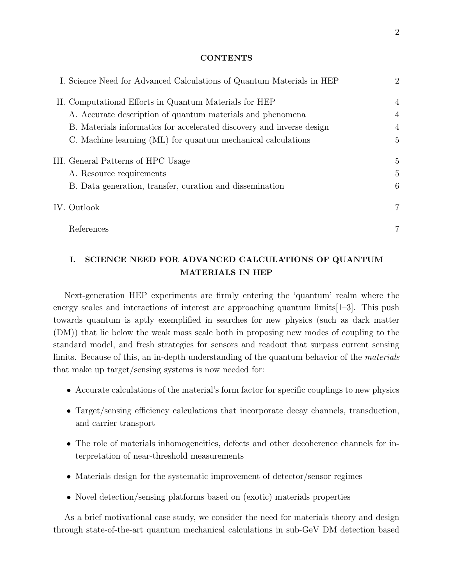#### **CONTENTS**

|  | I. Science Need for Advanced Calculations of Quantum Materials in HEP | $\overline{2}$ |
|--|-----------------------------------------------------------------------|----------------|
|  | II. Computational Efforts in Quantum Materials for HEP                | $\overline{4}$ |
|  | A. Accurate description of quantum materials and phenomena            | $\overline{4}$ |
|  | B. Materials informatics for accelerated discovery and inverse design | $\overline{4}$ |
|  | C. Machine learning (ML) for quantum mechanical calculations          | 5              |
|  | III. General Patterns of HPC Usage                                    | 5              |
|  | A. Resource requirements                                              | 5              |
|  | B. Data generation, transfer, curation and dissemination              | 6              |
|  | IV. Outlook                                                           | $\overline{7}$ |
|  | References                                                            |                |

# <span id="page-1-0"></span>I. SCIENCE NEED FOR ADVANCED CALCULATIONS OF QUANTUM MATERIALS IN HEP

Next-generation HEP experiments are firmly entering the 'quantum' realm where the energy scales and interactions of interest are approaching quantum limits  $[1-3]$  $[1-3]$ . This push towards quantum is aptly exemplified in searches for new physics (such as dark matter (DM)) that lie below the weak mass scale both in proposing new modes of coupling to the standard model, and fresh strategies for sensors and readout that surpass current sensing limits. Because of this, an in-depth understanding of the quantum behavior of the materials that make up target/sensing systems is now needed for:

- Accurate calculations of the material's form factor for specific couplings to new physics
- Target/sensing efficiency calculations that incorporate decay channels, transduction, and carrier transport
- The role of materials inhomogeneities, defects and other decoherence channels for interpretation of near-threshold measurements
- Materials design for the systematic improvement of detector/sensor regimes
- Novel detection/sensing platforms based on (exotic) materials properties

As a brief motivational case study, we consider the need for materials theory and design through state-of-the-art quantum mechanical calculations in sub-GeV DM detection based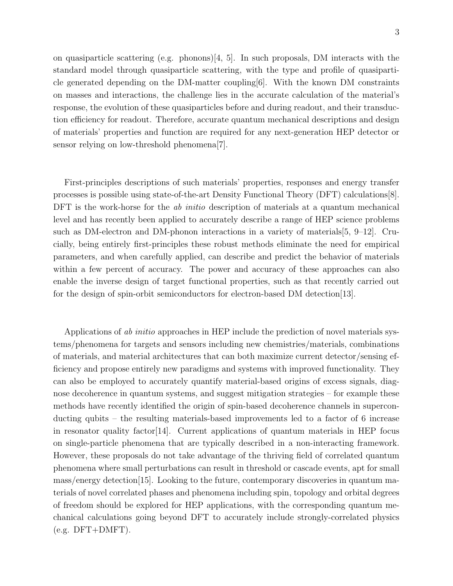on quasiparticle scattering (e.g. phonons)[\[4,](#page-6-4) [5\]](#page-7-0). In such proposals, DM interacts with the standard model through quasiparticle scattering, with the type and profile of quasiparticle generated depending on the DM-matter coupling  $[6]$ . With the known DM constraints on masses and interactions, the challenge lies in the accurate calculation of the material's response, the evolution of these quasiparticles before and during readout, and their transduction efficiency for readout. Therefore, accurate quantum mechanical descriptions and design of materials' properties and function are required for any next-generation HEP detector or sensor relying on low-threshold phenomena[\[7\]](#page-7-2).

First-principles descriptions of such materials' properties, responses and energy transfer processes is possible using state-of-the-art Density Functional Theory (DFT) calculations[\[8\]](#page-7-3). DFT is the work-horse for the *ab initio* description of materials at a quantum mechanical level and has recently been applied to accurately describe a range of HEP science problems such as DM-electron and DM-phonon interactions in a variety of materials[\[5,](#page-7-0) [9–](#page-7-4)[12\]](#page-7-5). Crucially, being entirely first-principles these robust methods eliminate the need for empirical parameters, and when carefully applied, can describe and predict the behavior of materials within a few percent of accuracy. The power and accuracy of these approaches can also enable the inverse design of target functional properties, such as that recently carried out for the design of spin-orbit semiconductors for electron-based DM detection[\[13\]](#page-7-6).

Applications of ab initio approaches in HEP include the prediction of novel materials systems/phenomena for targets and sensors including new chemistries/materials, combinations of materials, and material architectures that can both maximize current detector/sensing efficiency and propose entirely new paradigms and systems with improved functionality. They can also be employed to accurately quantify material-based origins of excess signals, diagnose decoherence in quantum systems, and suggest mitigation strategies – for example these methods have recently identified the origin of spin-based decoherence channels in superconducting qubits – the resulting materials-based improvements led to a factor of 6 increase in resonator quality factor[\[14\]](#page-7-7). Current applications of quantum materials in HEP focus on single-particle phenomena that are typically described in a non-interacting framework. However, these proposals do not take advantage of the thriving field of correlated quantum phenomena where small perturbations can result in threshold or cascade events, apt for small mass/energy detection[\[15\]](#page-7-8). Looking to the future, contemporary discoveries in quantum materials of novel correlated phases and phenomena including spin, topology and orbital degrees of freedom should be explored for HEP applications, with the corresponding quantum mechanical calculations going beyond DFT to accurately include strongly-correlated physics  $(e.g. DFT+DMFT)$ .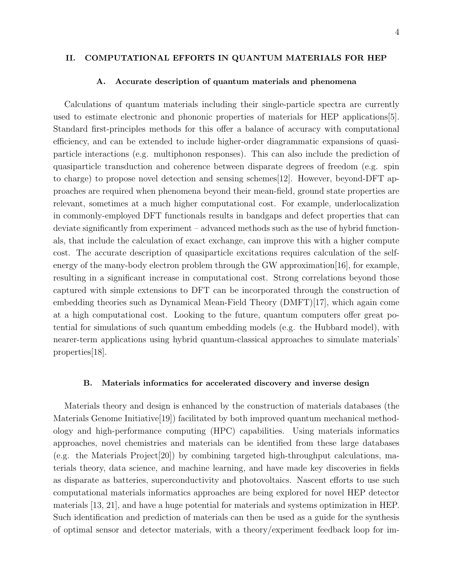#### <span id="page-3-0"></span>II. COMPUTATIONAL EFFORTS IN QUANTUM MATERIALS FOR HEP

#### <span id="page-3-1"></span>A. Accurate description of quantum materials and phenomena

Calculations of quantum materials including their single-particle spectra are currently used to estimate electronic and phononic properties of materials for HEP applications[\[5\]](#page-7-0). Standard first-principles methods for this offer a balance of accuracy with computational efficiency, and can be extended to include higher-order diagrammatic expansions of quasiparticle interactions (e.g. multiphonon responses). This can also include the prediction of quasiparticle transduction and coherence between disparate degrees of freedom (e.g. spin to charge) to propose novel detection and sensing schemes[\[12\]](#page-7-5). However, beyond-DFT approaches are required when phenomena beyond their mean-field, ground state properties are relevant, sometimes at a much higher computational cost. For example, underlocalization in commonly-employed DFT functionals results in bandgaps and defect properties that can deviate significantly from experiment – advanced methods such as the use of hybrid functionals, that include the calculation of exact exchange, can improve this with a higher compute cost. The accurate description of quasiparticle excitations requires calculation of the selfenergy of the many-body electron problem through the GW approximation[\[16\]](#page-7-9), for example, resulting in a significant increase in computational cost. Strong correlations beyond those captured with simple extensions to DFT can be incorporated through the construction of embedding theories such as Dynamical Mean-Field Theory (DMFT)[\[17\]](#page-7-10), which again come at a high computational cost. Looking to the future, quantum computers offer great potential for simulations of such quantum embedding models (e.g. the Hubbard model), with nearer-term applications using hybrid quantum-classical approaches to simulate materials' properties[\[18\]](#page-7-11).

# <span id="page-3-2"></span>B. Materials informatics for accelerated discovery and inverse design

Materials theory and design is enhanced by the construction of materials databases (the Materials Genome Initiative[\[19\]](#page-7-12)) facilitated by both improved quantum mechanical methodology and high-performance computing (HPC) capabilities. Using materials informatics approaches, novel chemistries and materials can be identified from these large databases (e.g. the Materials Project[\[20\]](#page-8-0)) by combining targeted high-throughput calculations, materials theory, data science, and machine learning, and have made key discoveries in fields as disparate as batteries, superconductivity and photovoltaics. Nascent efforts to use such computational materials informatics approaches are being explored for novel HEP detector materials [\[13,](#page-7-6) [21\]](#page-8-1), and have a huge potential for materials and systems optimization in HEP. Such identification and prediction of materials can then be used as a guide for the synthesis of optimal sensor and detector materials, with a theory/experiment feedback loop for im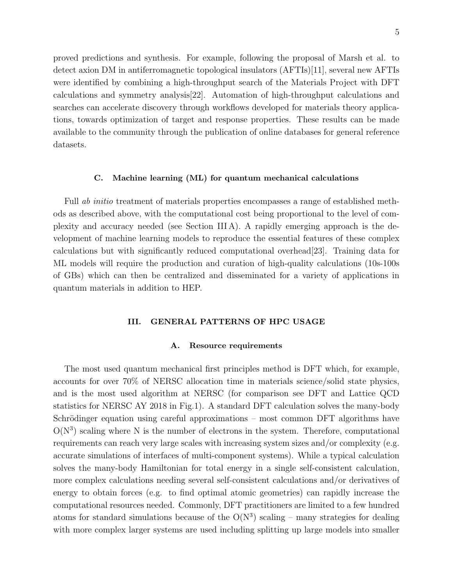proved predictions and synthesis. For example, following the proposal of Marsh et al. to detect axion DM in antiferromagnetic topological insulators (AFTIs)[\[11\]](#page-7-13), several new AFTIs were identified by combining a high-throughput search of the Materials Project with DFT calculations and symmetry analysis[\[22\]](#page-8-2). Automation of high-throughput calculations and searches can accelerate discovery through workflows developed for materials theory applications, towards optimization of target and response properties. These results can be made available to the community through the publication of online databases for general reference datasets.

# <span id="page-4-0"></span>C. Machine learning (ML) for quantum mechanical calculations

Full *ab initio* treatment of materials properties encompasses a range of established methods as described above, with the computational cost being proportional to the level of complexity and accuracy needed (see Section [III A\)](#page-4-2). A rapidly emerging approach is the development of machine learning models to reproduce the essential features of these complex calculations but with significantly reduced computational overhead[\[23\]](#page-8-3). Training data for ML models will require the production and curation of high-quality calculations (10s-100s of GBs) which can then be centralized and disseminated for a variety of applications in quantum materials in addition to HEP.

# <span id="page-4-1"></span>III. GENERAL PATTERNS OF HPC USAGE

# <span id="page-4-2"></span>A. Resource requirements

The most used quantum mechanical first principles method is DFT which, for example, accounts for over 70% of NERSC allocation time in materials science/solid state physics, and is the most used algorithm at NERSC (for comparison see DFT and Lattice QCD statistics for NERSC AY 2018 in Fig[.1\)](#page-5-1). A standard DFT calculation solves the many-body Schrödinger equation using careful approximations – most common DFT algorithms have  $O(N^3)$  scaling where N is the number of electrons in the system. Therefore, computational requirements can reach very large scales with increasing system sizes and/or complexity (e.g. accurate simulations of interfaces of multi-component systems). While a typical calculation solves the many-body Hamiltonian for total energy in a single self-consistent calculation, more complex calculations needing several self-consistent calculations and/or derivatives of energy to obtain forces (e.g. to find optimal atomic geometries) can rapidly increase the computational resources needed. Commonly, DFT practitioners are limited to a few hundred atoms for standard simulations because of the  $O(N^3)$  scaling – many strategies for dealing with more complex larger systems are used including splitting up large models into smaller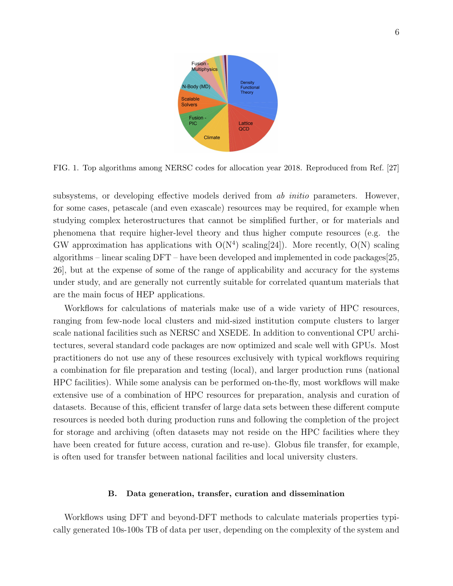

<span id="page-5-1"></span>FIG. 1. Top algorithms among NERSC codes for allocation year 2018. Reproduced from Ref. [\[27\]](#page-8-4)

subsystems, or developing effective models derived from *ab initio* parameters. However, for some cases, petascale (and even exascale) resources may be required, for example when studying complex heterostructures that cannot be simplified further, or for materials and phenomena that require higher-level theory and thus higher compute resources (e.g. the GW approximation has applications with  $O(N^4)$  scaling [\[24\]](#page-8-5)). More recently,  $O(N)$  scaling algorithms – linear scaling DFT – have been developed and implemented in code packages[\[25,](#page-8-6) [26\]](#page-8-7), but at the expense of some of the range of applicability and accuracy for the systems under study, and are generally not currently suitable for correlated quantum materials that are the main focus of HEP applications.

Workflows for calculations of materials make use of a wide variety of HPC resources, ranging from few-node local clusters and mid-sized institution compute clusters to larger scale national facilities such as NERSC and XSEDE. In addition to conventional CPU architectures, several standard code packages are now optimized and scale well with GPUs. Most practitioners do not use any of these resources exclusively with typical workflows requiring a combination for file preparation and testing (local), and larger production runs (national HPC facilities). While some analysis can be performed on-the-fly, most workflows will make extensive use of a combination of HPC resources for preparation, analysis and curation of datasets. Because of this, efficient transfer of large data sets between these different compute resources is needed both during production runs and following the completion of the project for storage and archiving (often datasets may not reside on the HPC facilities where they have been created for future access, curation and re-use). Globus file transfer, for example, is often used for transfer between national facilities and local university clusters.

#### <span id="page-5-0"></span>B. Data generation, transfer, curation and dissemination

Workflows using DFT and beyond-DFT methods to calculate materials properties typically generated 10s-100s TB of data per user, depending on the complexity of the system and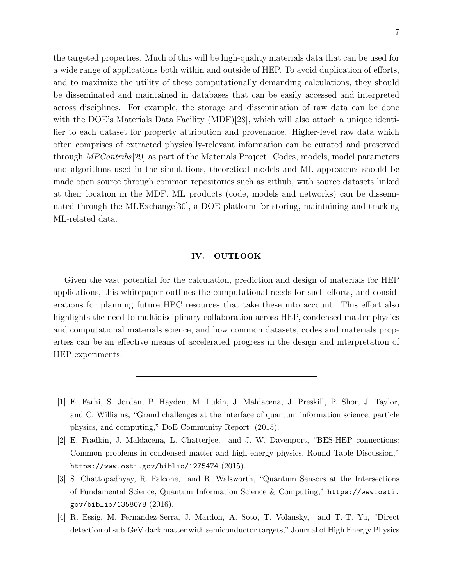the targeted properties. Much of this will be high-quality materials data that can be used for a wide range of applications both within and outside of HEP. To avoid duplication of efforts, and to maximize the utility of these computationally demanding calculations, they should be disseminated and maintained in databases that can be easily accessed and interpreted across disciplines. For example, the storage and dissemination of raw data can be done with the DOE's Materials Data Facility (MDF)[\[28\]](#page-8-8), which will also attach a unique identifier to each dataset for property attribution and provenance. Higher-level raw data which often comprises of extracted physically-relevant information can be curated and preserved through *MPContribs*<sup>[\[29\]](#page-8-9)</sup> as part of the Materials Project. Codes, models, model parameters and algorithms used in the simulations, theoretical models and ML approaches should be made open source through common repositories such as github, with source datasets linked at their location in the MDF. ML products (code, models and networks) can be disseminated through the MLExchange[\[30\]](#page-8-10), a DOE platform for storing, maintaining and tracking ML-related data.

# <span id="page-6-0"></span>IV. OUTLOOK

Given the vast potential for the calculation, prediction and design of materials for HEP applications, this whitepaper outlines the computational needs for such efforts, and considerations for planning future HPC resources that take these into account. This effort also highlights the need to multidisciplinary collaboration across HEP, condensed matter physics and computational materials science, and how common datasets, codes and materials properties can be an effective means of accelerated progress in the design and interpretation of HEP experiments.

- <span id="page-6-2"></span><span id="page-6-1"></span>[1] E. Farhi, S. Jordan, P. Hayden, M. Lukin, J. Maldacena, J. Preskill, P. Shor, J. Taylor, and C. Williams, "Grand challenges at the interface of quantum information science, particle physics, and computing," DoE Community Report (2015).
- [2] E. Fradkin, J. Maldacena, L. Chatterjee, and J. W. Davenport, "BES-HEP connections: Common problems in condensed matter and high energy physics, Round Table Discussion," <https://www.osti.gov/biblio/1275474> (2015).
- <span id="page-6-3"></span>[3] S. Chattopadhyay, R. Falcone, and R. Walsworth, ["Quantum Sensors at the Intersections](http://dx.doi.org/10.2172/1358078) [of Fundamental Science, Quantum Information Science & Computing,"](http://dx.doi.org/10.2172/1358078) [https://www.osti.](https://www.osti.gov/biblio/1358078) [gov/biblio/1358078](https://www.osti.gov/biblio/1358078) (2016).
- <span id="page-6-4"></span>[4] R. Essig, M. Fernandez-Serra, J. Mardon, A. Soto, T. Volansky, and T.-T. Yu, "Direct detection of sub-GeV dark matter with semiconductor targets," [Journal of High Energy Physics](https://doi.org/10.1007/JHEP05(2016)046)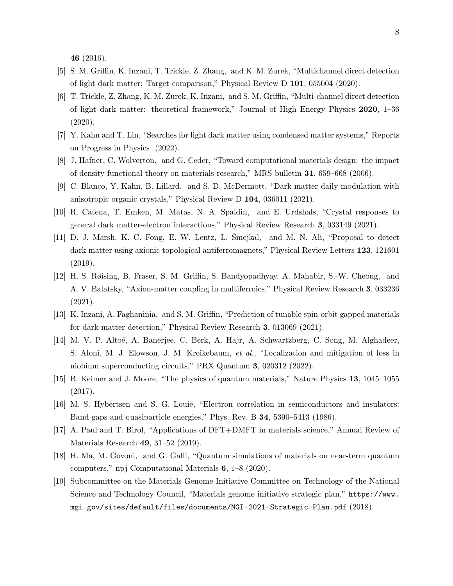46 [\(2016\).](https://doi.org/10.1007/JHEP05(2016)046)

- <span id="page-7-0"></span>[5] S. M. Griffin, K. Inzani, T. Trickle, Z. Zhang, and K. M. Zurek, "Multichannel direct detection of light dark matter: Target comparison," [Physical Review D](http://dx.doi.org/10.1103/PhysRevD.101.055004) 101, 055004 (2020).
- <span id="page-7-1"></span>[6] T. Trickle, Z. Zhang, K. M. Zurek, K. Inzani, and S. M. Griffin, "Multi-channel direct detection of light dark matter: theoretical framework," Journal of High Energy Physics 2020, 1–36 (2020).
- <span id="page-7-2"></span>[7] Y. Kahn and T. Lin, "Searches for light dark matter using condensed matter systems," Reports on Progress in Physics (2022).
- <span id="page-7-3"></span>[8] J. Hafner, C. Wolverton, and G. Ceder, "Toward computational materials design: the impact of density functional theory on materials research," MRS bulletin 31, 659–668 (2006).
- <span id="page-7-4"></span>[9] C. Blanco, Y. Kahn, B. Lillard, and S. D. McDermott, "Dark matter daily modulation with anisotropic organic crystals," [Physical Review D](http://dx.doi.org/ 10.1103/PhysRevD.104.036011) 104, 036011 (2021).
- [10] R. Catena, T. Emken, M. Matas, N. A. Spaldin, and E. Urdshals, "Crystal responses to general dark matter-electron interactions," [Physical Review Research](http://dx.doi.org/ 10.1103/PhysRevResearch.3.033149) 3, 033149 (2021).
- <span id="page-7-13"></span> $[11]$  D. J. Marsh, K. C. Fong, E. W. Lentz, L. Smejkal, and M. N. Ali, "Proposal to detect dark matter using axionic topological antiferromagnets," Physical Review Letters 123, 121601 (2019).
- <span id="page-7-5"></span>[12] H. S. Røising, B. Fraser, S. M. Griffin, S. Bandyopadhyay, A. Mahabir, S.-W. Cheong, and A. V. Balatsky, "Axion-matter coupling in multiferroics," Physical Review Research 3, 033236 (2021).
- <span id="page-7-6"></span>[13] K. Inzani, A. Faghaninia, and S. M. Griffin, "Prediction of tunable spin-orbit gapped materials for dark matter detection," Physical Review Research 3, 013069 (2021).
- <span id="page-7-7"></span>[14] M. V. P. Altoé, A. Banerjee, C. Berk, A. Hajr, A. Schwartzberg, C. Song, M. Alghadeer, S. Aloni, M. J. Elowson, J. M. Kreikebaum, et al., "Localization and mitigation of loss in niobium superconducting circuits," PRX Quantum 3, 020312 (2022).
- <span id="page-7-8"></span>[15] B. Keimer and J. Moore, "The physics of quantum materials," Nature Physics 13, 1045–1055 (2017).
- <span id="page-7-9"></span>[16] M. S. Hybertsen and S. G. Louie, "Electron correlation in semiconductors and insulators: Band gaps and quasiparticle energies," Phys. Rev. B 34[, 5390–5413 \(1986\).](http://dx.doi.org/10.1103/PhysRevB.34.5390)
- <span id="page-7-10"></span>[17] A. Paul and T. Birol, "Applications of DFT+DMFT in materials science," Annual Review of Materials Research 49, 31–52 (2019).
- <span id="page-7-11"></span>[18] H. Ma, M. Govoni, and G. Galli, "Quantum simulations of materials on near-term quantum computers," npj Computational Materials 6, 1–8 (2020).
- <span id="page-7-12"></span>[19] Subcommittee on the Materials Genome Initiative Committee on Technology of the National Science and Technology Council, "Materials genome initiative strategic plan," [https://www.](https://www.mgi.gov/sites/default/files/documents/MGI-2021-Strategic-Plan.pdf) [mgi.gov/sites/default/files/documents/MGI-2021-Strategic-Plan.pdf](https://www.mgi.gov/sites/default/files/documents/MGI-2021-Strategic-Plan.pdf) (2018).